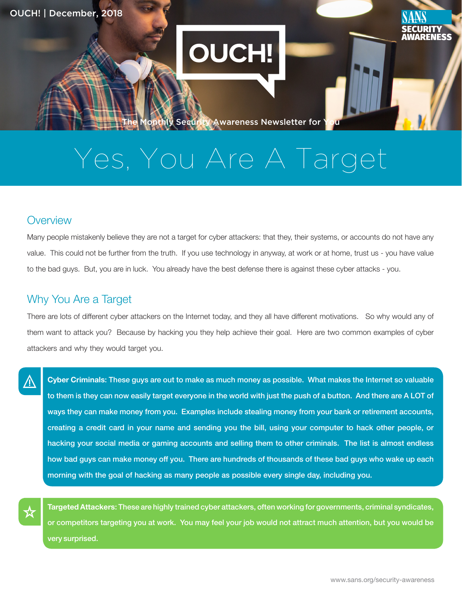## **OUCH!**

onthly Security Awareness Newsletter for

# Yes, You Are A Target

#### **Overview**

Many people mistakenly believe they are not a target for cyber attackers: that they, their systems, or accounts do not have any value. This could not be further from the truth. If you use technology in anyway, at work or at home, trust us - you have value to the bad guys. But, you are in luck. You already have the best defense there is against these cyber attacks - you.

### Why You Are a Target

There are lots of different cyber attackers on the Internet today, and they all have different motivations. So why would any of them want to attack you? Because by hacking you they help achieve their goal. Here are two common examples of cyber attackers and why they would target you.

Cyber Criminals: These guys are out to make as much money as possible. What makes the Internet so valuable to them is they can now easily target everyone in the world with just the push of a button. And there are A LOT of ways they can make money from you. Examples include stealing money from your bank or retirement accounts, creating a credit card in your name and sending you the bill, using your computer to hack other people, or hacking your social media or gaming accounts and selling them to other criminals. The list is almost endless how bad guys can make money off you. There are hundreds of thousands of these bad guys who wake up each morning with the goal of hacking as many people as possible every single day, including you.

Targeted Attackers: These are highly trained cyber attackers, often working for governments, criminal syndicates, or competitors targeting you at work. You may feel your job would not attract much attention, but you would be very surprised.